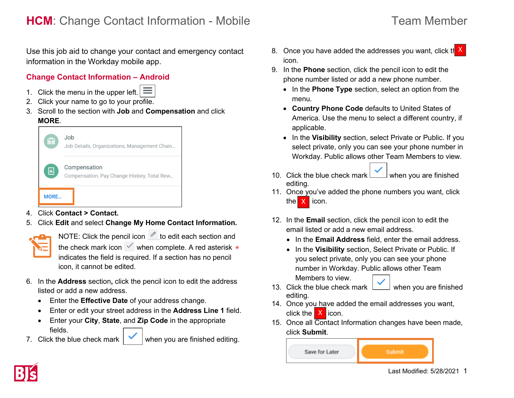# **HCM**: Change Contact Information - Mobile Team Member

Use this job aid to change your contact and emergency contact information in the Workday mobile app.

#### **Change Contact Information – Android**

- 1. Click the menu in the upper left.  $\equiv$
- 2. Click your name to go to your profile.
- 3. Scroll to the section with **Job** and **Compensation** and click **MORE**.



- 4. Click **Contact > Contact.**
- 5. Click **Edit** and select **Change My Home Contact Information.**

NOTE: Click the pencil icon  $\mathscr O$  to edit each section and the check mark icon  $\vee$  when complete. A red asterisk  $\star$ indicates the field is required. If a section has no pencil icon, it cannot be edited.

- 6. In the **Address** section**,** click the pencil icon to edit the address listed or add a new address.
	- Enter the **Effective Date** of your address change.
	- Enter or edit your street address in the **Address Line 1** field.
	- Enter your **City**, **State**, and **Zip Code** in the appropriate fields.
- 

7. Click the blue check mark  $\mathbf{w}$  when you are finished editing.

- 8. Once you have added the addresses you want, click the X icon.
- 9. In the **Phone** section, click the pencil icon to edit the phone number listed or add a new phone number.
	- In the **Phone Type** section, select an option from the menu.
	- **Country Phone Code** defaults to United States of America. Use the menu to select a different country, if applicable.
	- In the **Visibility** section, select Private or Public. If you select private, only you can see your phone number in Workday. Public allows other Team Members to view.
- 10. Click the blue check mark when you are finished editing.
- 11. Once you've added the phone numbers you want, click the  $\mathsf{X}$  icon.
- 12. In the **Email** section, click the pencil icon to edit the email listed or add a new email address.
	- In the **Email Address** field, enter the email address.
	- In the **Visibility** section, Select Private or Public. If you select private, only you can see your phone number in Workday. Public allows other Team Members to view.
- 13. Click the blue check mark  $\boxed{\phantom{0}}$  when you are finished editing.
- 14. Once you have added the email addresses you want, click the  $X$  icon.
- 15. Once all Contact Information changes have been made, click **Submit**.

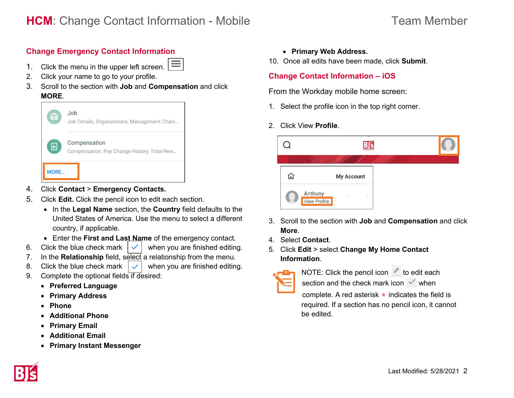### **Change Emergency Contact Information**

- 1. Click the menu in the upper left screen.
- 2. Click your name to go to your profile.
- 3. Scroll to the section with **Job** and **Compensation** and click **MORE**.



- 4. Click **Contact** > **Emergency Contacts.**
- 5. Click **Edit.** Click the pencil icon to edit each section.
	- In the **Legal Name** section, the **Country** field defaults to the United States of America. Use the menu to select a different country, if applicable.
	- Enter the **First and Last Name** of the emergency contact.
- 6. Click the blue check mark  $\vert \checkmark \vert$  when you are finished editing.
- 7. In the **Relationship** field, select a relationship from the menu.
- 8. Click the blue check mark  $\vert \vee \vert$  when you are finished editing.
- 9. Complete the optional fields if desired:
	- **Preferred Language**
	- **Primary Address**
	- **Phone**
	- **Additional Phone**
	- **Primary Email**
	- **Additional Email**
	- **Primary Instant Messenger**
- **Primary Web Address.**
- 10. Once all edits have been made, click **Submit**.

#### **Change Contact Information – iOS**

From the Workday mobile home screen:

- 1. Select the profile icon in the top right corner.
- 2. Click View **Profile**.



- 3. Scroll to the section with **Job** and **Compensation** and click **More**.
- 4. Select **Contact**.
- 5. Click **Edit** > select **Change My Home Contact Information**.



NOTE: Click the pencil icon  $\ell$  to edit each section and the check mark icon  $\vee$  when

complete. A red asterisk  $\star$  indicates the field is required. If a section has no pencil icon, it cannot be edited.